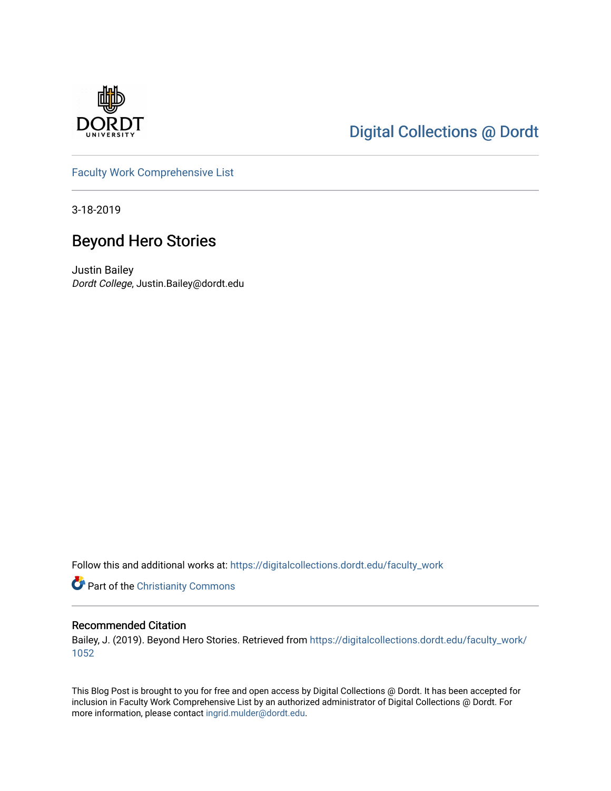

# [Digital Collections @ Dordt](https://digitalcollections.dordt.edu/)

[Faculty Work Comprehensive List](https://digitalcollections.dordt.edu/faculty_work)

3-18-2019

## Beyond Hero Stories

Justin Bailey Dordt College, Justin.Bailey@dordt.edu

Follow this and additional works at: [https://digitalcollections.dordt.edu/faculty\\_work](https://digitalcollections.dordt.edu/faculty_work?utm_source=digitalcollections.dordt.edu%2Ffaculty_work%2F1052&utm_medium=PDF&utm_campaign=PDFCoverPages) 

Part of the [Christianity Commons](http://network.bepress.com/hgg/discipline/1181?utm_source=digitalcollections.dordt.edu%2Ffaculty_work%2F1052&utm_medium=PDF&utm_campaign=PDFCoverPages) 

#### Recommended Citation

Bailey, J. (2019). Beyond Hero Stories. Retrieved from [https://digitalcollections.dordt.edu/faculty\\_work/](https://digitalcollections.dordt.edu/faculty_work/1052?utm_source=digitalcollections.dordt.edu%2Ffaculty_work%2F1052&utm_medium=PDF&utm_campaign=PDFCoverPages) [1052](https://digitalcollections.dordt.edu/faculty_work/1052?utm_source=digitalcollections.dordt.edu%2Ffaculty_work%2F1052&utm_medium=PDF&utm_campaign=PDFCoverPages)

This Blog Post is brought to you for free and open access by Digital Collections @ Dordt. It has been accepted for inclusion in Faculty Work Comprehensive List by an authorized administrator of Digital Collections @ Dordt. For more information, please contact [ingrid.mulder@dordt.edu.](mailto:ingrid.mulder@dordt.edu)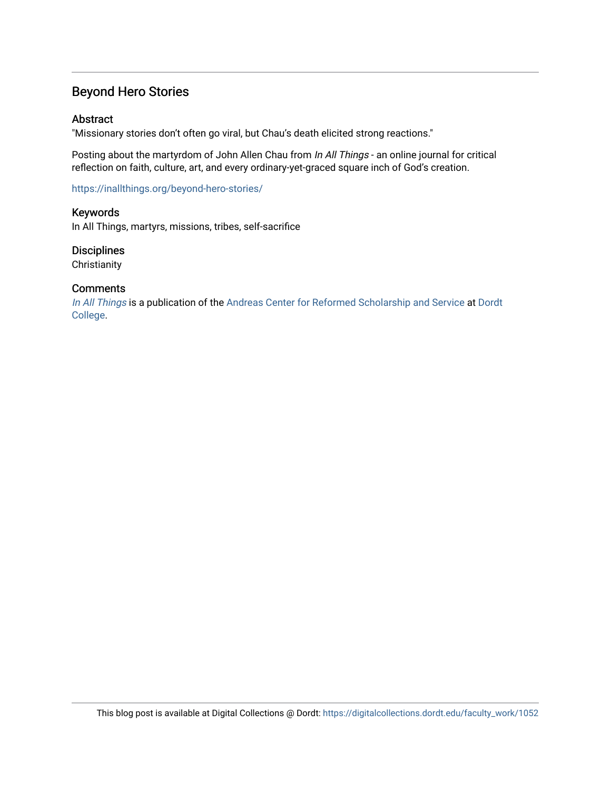### Beyond Hero Stories

#### Abstract

"Missionary stories don't often go viral, but Chau's death elicited strong reactions."

Posting about the martyrdom of John Allen Chau from In All Things - an online journal for critical reflection on faith, culture, art, and every ordinary-yet-graced square inch of God's creation.

<https://inallthings.org/beyond-hero-stories/>

Keywords In All Things, martyrs, missions, tribes, self-sacrifice

**Disciplines Christianity** 

#### **Comments**

[In All Things](http://inallthings.org/) is a publication of the [Andreas Center for Reformed Scholarship and Service](http://www.dordt.edu/services_support/andreas_center/) at Dordt [College](http://www.dordt.edu/).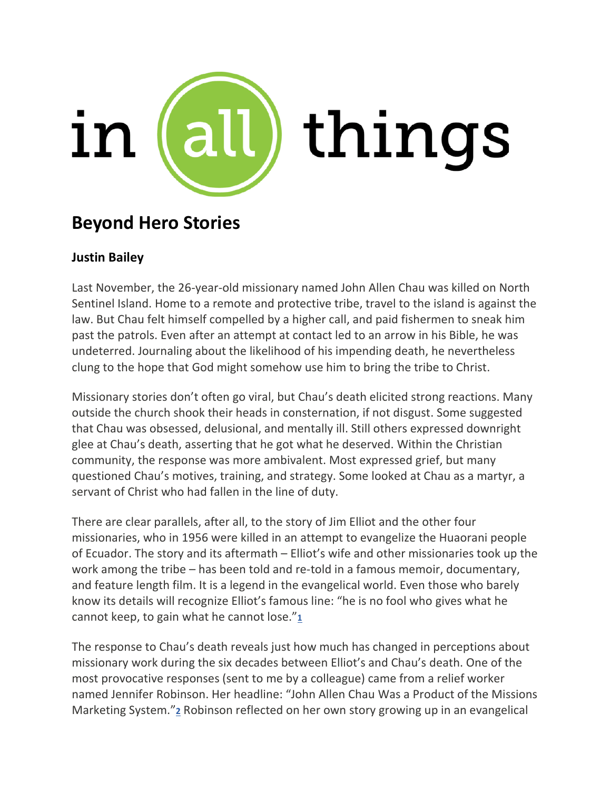

# **Beyond Hero Stories**

## **Justin Bailey**

Last November, the 26-year-old missionary named John Allen Chau was killed on North Sentinel Island. Home to a remote and protective tribe, travel to the island is against the law. But Chau felt himself compelled by a higher call, and paid fishermen to sneak him past the patrols. Even after an attempt at contact led to an arrow in his Bible, he was undeterred. Journaling about the likelihood of his impending death, he nevertheless clung to the hope that God might somehow use him to bring the tribe to Christ.

Missionary stories don't often go viral, but Chau's death elicited strong reactions. Many outside the church shook their heads in consternation, if not disgust. Some suggested that Chau was obsessed, delusional, and mentally ill. Still others expressed downright glee at Chau's death, asserting that he got what he deserved. Within the Christian community, the response was more ambivalent. Most expressed grief, but many questioned Chau's motives, training, and strategy. Some looked at Chau as a martyr, a servant of Christ who had fallen in the line of duty.

There are clear parallels, after all, to the story of Jim Elliot and the other four missionaries, who in 1956 were killed in an attempt to evangelize the Huaorani people of Ecuador. The story and its aftermath – Elliot's wife and other missionaries took up the work among the tribe – has been told and re-told in a famous memoir, documentary, and feature length film. It is a legend in the evangelical world. Even those who barely know its details will recognize Elliot's famous line: "he is no fool who gives what he cannot keep, to gain what he cannot lose."**[1](https://inallthings.org/beyond-hero-stories/#fn1-16636)**

The response to Chau's death reveals just how much has changed in perceptions about missionary work during the six decades between Elliot's and Chau's death. One of the most provocative responses (sent to me by a colleague) came from a relief worker named Jennifer Robinson. Her headline: "John Allen Chau Was a Product of the Missions Marketing System."**[2](https://inallthings.org/beyond-hero-stories/#fn2-16636)** Robinson reflected on her own story growing up in an evangelical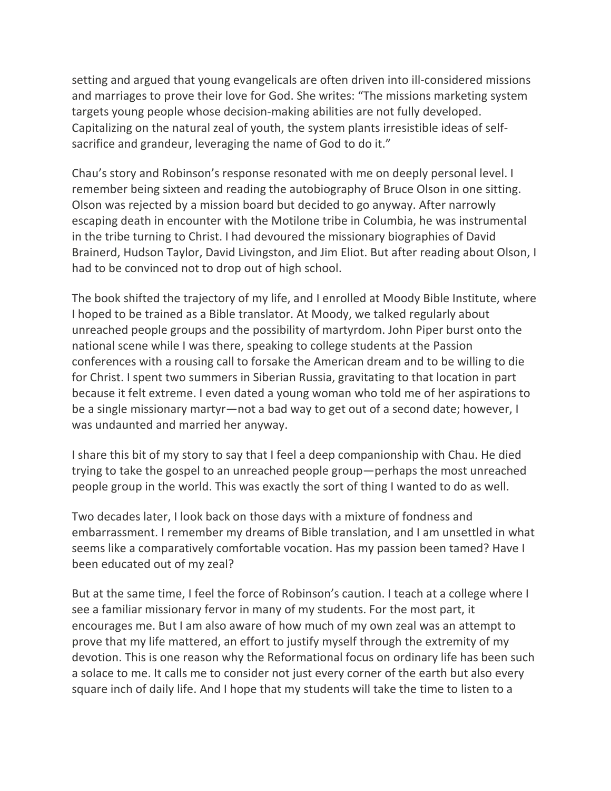setting and argued that young evangelicals are often driven into ill-considered missions and marriages to prove their love for God. She writes: "The missions marketing system targets young people whose decision-making abilities are not fully developed. Capitalizing on the natural zeal of youth, the system plants irresistible ideas of selfsacrifice and grandeur, leveraging the name of God to do it."

Chau's story and Robinson's response resonated with me on deeply personal level. I remember being sixteen and reading the autobiography of Bruce Olson in one sitting. Olson was rejected by a mission board but decided to go anyway. After narrowly escaping death in encounter with the Motilone tribe in Columbia, he was instrumental in the tribe turning to Christ. I had devoured the missionary biographies of David Brainerd, Hudson Taylor, David Livingston, and Jim Eliot. But after reading about Olson, I had to be convinced not to drop out of high school.

The book shifted the trajectory of my life, and I enrolled at Moody Bible Institute, where I hoped to be trained as a Bible translator. At Moody, we talked regularly about unreached people groups and the possibility of martyrdom. John Piper burst onto the national scene while I was there, speaking to college students at the Passion conferences with a rousing call to forsake the American dream and to be willing to die for Christ. I spent two summers in Siberian Russia, gravitating to that location in part because it felt extreme. I even dated a young woman who told me of her aspirations to be a single missionary martyr—not a bad way to get out of a second date; however, I was undaunted and married her anyway.

I share this bit of my story to say that I feel a deep companionship with Chau. He died trying to take the gospel to an unreached people group—perhaps the most unreached people group in the world. This was exactly the sort of thing I wanted to do as well.

Two decades later, I look back on those days with a mixture of fondness and embarrassment. I remember my dreams of Bible translation, and I am unsettled in what seems like a comparatively comfortable vocation. Has my passion been tamed? Have I been educated out of my zeal?

But at the same time, I feel the force of Robinson's caution. I teach at a college where I see a familiar missionary fervor in many of my students. For the most part, it encourages me. But I am also aware of how much of my own zeal was an attempt to prove that my life mattered, an effort to justify myself through the extremity of my devotion. This is one reason why the Reformational focus on ordinary life has been such a solace to me. It calls me to consider not just every corner of the earth but also every square inch of daily life. And I hope that my students will take the time to listen to a